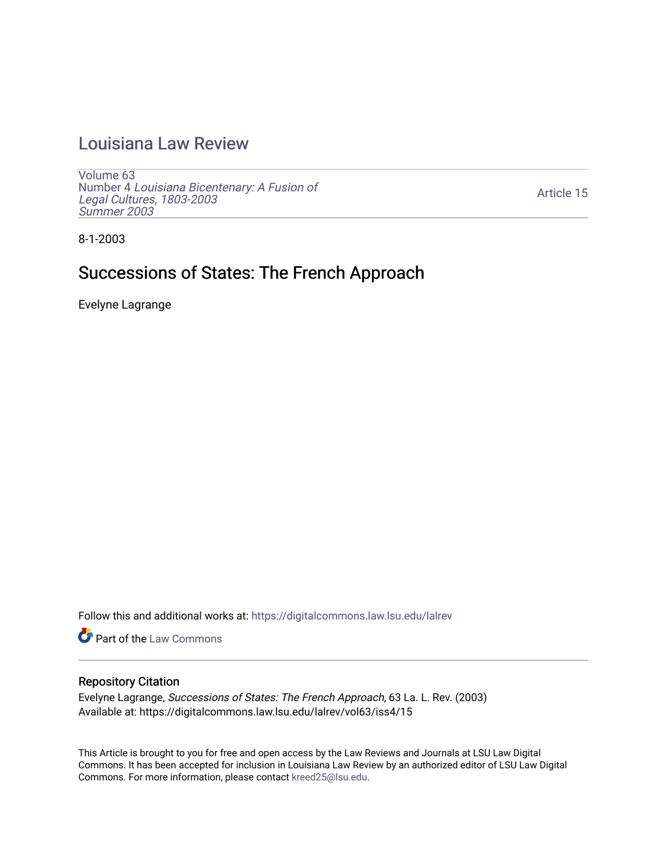## [Louisiana Law Review](https://digitalcommons.law.lsu.edu/lalrev)

[Volume 63](https://digitalcommons.law.lsu.edu/lalrev/vol63) Number 4 [Louisiana Bicentenary: A Fusion of](https://digitalcommons.law.lsu.edu/lalrev/vol63/iss4) [Legal Cultures, 1803-2003](https://digitalcommons.law.lsu.edu/lalrev/vol63/iss4) [Summer 2003](https://digitalcommons.law.lsu.edu/lalrev/vol63/iss4) 

[Article 15](https://digitalcommons.law.lsu.edu/lalrev/vol63/iss4/15) 

8-1-2003

# Successions of States: The French Approach

Evelyne Lagrange

Follow this and additional works at: [https://digitalcommons.law.lsu.edu/lalrev](https://digitalcommons.law.lsu.edu/lalrev?utm_source=digitalcommons.law.lsu.edu%2Flalrev%2Fvol63%2Fiss4%2F15&utm_medium=PDF&utm_campaign=PDFCoverPages)

Part of the [Law Commons](https://network.bepress.com/hgg/discipline/578?utm_source=digitalcommons.law.lsu.edu%2Flalrev%2Fvol63%2Fiss4%2F15&utm_medium=PDF&utm_campaign=PDFCoverPages)

#### Repository Citation

Evelyne Lagrange, Successions of States: The French Approach, 63 La. L. Rev. (2003) Available at: https://digitalcommons.law.lsu.edu/lalrev/vol63/iss4/15

This Article is brought to you for free and open access by the Law Reviews and Journals at LSU Law Digital Commons. It has been accepted for inclusion in Louisiana Law Review by an authorized editor of LSU Law Digital Commons. For more information, please contact [kreed25@lsu.edu](mailto:kreed25@lsu.edu).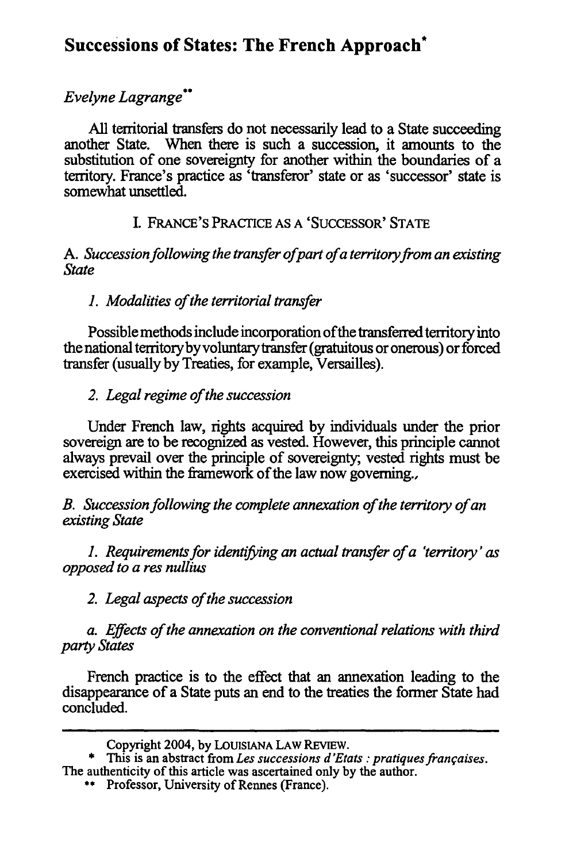### **Successions of States: The French Approach\***

#### *Evelyne Lagrange"*

**All** territorial transfers do not necessarily lead to a State succeeding another State. When there is such a succession, it amounts to the substitution of one sovereignty for another within the boundaries of a territory. France's practice as 'transferor' state or as 'successor' state is somewhat unsettled.

#### I. FRANCE'S PRACTICE AS A 'SUCCESSOR' STATE

*A. Succession following the transfer ofpart ofa territoryfrom an existing State*

#### *1. Modalities of the territorial transfer*

Possible methods include incorporation of the transferred territory into the national territoryby voluntary transfer (gratuitous or onerous) or forced transfer (usually by Treaties, for example, Versailles).

#### *2. Legal regime of the succession*

Under French law, rights acquired by individuals under the prior sovereign are to be recognized as vested. However, this principle cannot always prevail over the principle of sovereignty, vested rights must be exercised within the framework of the law now governing.,

*B. Succession following the complete annexation of the territory of an existing State*

*1. Requirements for identifrng an actual transfer of a 'territory' as opposed to a res nullius*

*2. Legal aspects of the succession*

*a. Effects of the annexation on the conventional relations with third party States*

French practice is to the effect that an annexation leading to the disappearance of a State puts an end to the treaties the former State had concluded.

Copyright 2004, by LOUISIANA LAW REVIEW.

<sup>\*</sup> This is an abstract from *Les successions d'Etats : pratiques françaises*. The authenticity of this article was ascertained only by the author.

**<sup>\*\*</sup>** Professor, University of Rennes (France).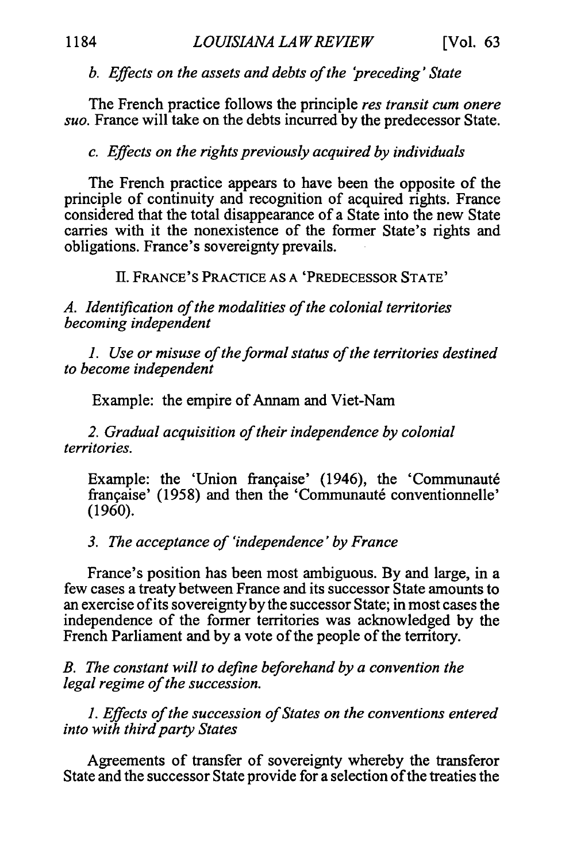#### *b. Effects on the assetsanddebts ofthe 'preceding' State*

The French practice follows the principle *res transit cum onere suo.* France will take on the debts incurred by the predecessor State.

#### *c. Effects on the rights previously acquired by individuals*

The French practice appears to have been the opposite of the principle of continuity and recognition of acquired rights. France considered that the total disappearance of a State into the new State carries with it the nonexistence of the former State's rights and obligations. France's sovereignty prevails.

II. FRANCE'S PRACTICE AS A 'PREDECESSOR STATE'

A. Identification of the modalities of the colonial territories *becoming independent* 

1. Use or misuse of the formal status of the territories destined *to become independent* 

Example: the empire of Annam and Viet-Nam

2. Gradual acquisition of their independence by colonial *territories.* 

Example: the 'Union française' (1946), the 'Communauté française' (1958) and then the 'Communauté conventionnelle' (1960).

*3. The acceptanceof 'independence' by France* 

France's position has been most ambiguous. By and large, in a few cases a treaty between France and its successor State amounts to an exercise ofits sovereignty by the successor State; in most cases the independence of the former territories was acknowledged by the French Parliament and by a vote of the people of the territory.

*B. The constant will to define beforehand by a convention the legal regime of the succession.* 

1. Effects of the succession of States on the conventions entered *into with third party States* 

Agreements of transfer of sovereignty whereby the transferor State and the successor State provide for a selection of the treaties the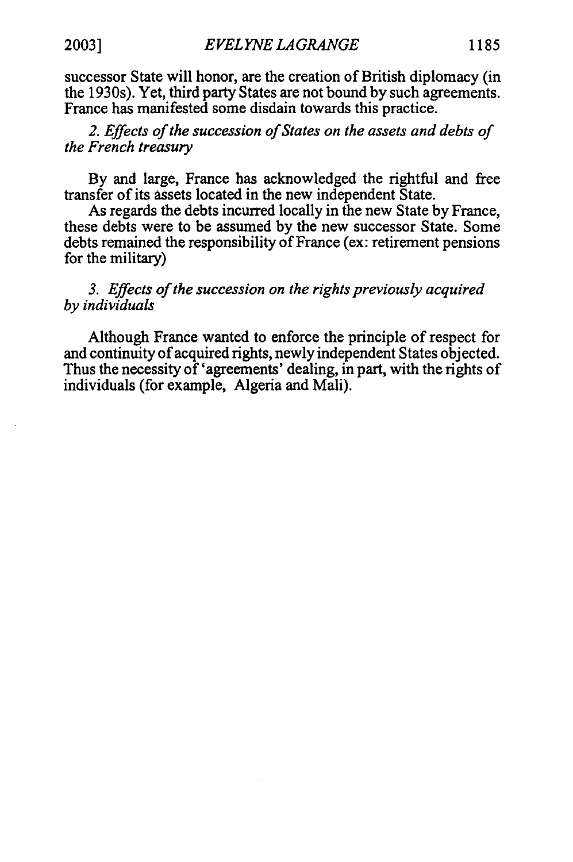successor State will honor, are the creation of British diplomacy (in the 1930s). Yet, third party States are not bound **by** such agreements. France has manifested some disdain towards this practice.

2. Effects of the succession of States on the assets and debts of the French treasury

**By** and large, France has acknowledged the rightful and free transfer of its assets located in the new independent State.

As regards the debts incurred locally in the new State by France, these debts were to be assumed by the new successor State. Some debts remained the responsibility of France (ex: retirement pensions for the military)

*3. Effects of the succession on the rights previously acquired by individuals* 

Although France wanted to enforce the principle of respect for and continuity of acquired rights, newly independent States objected. Thus the necessity of 'agreements' dealing, in part, with the rights of individuals (for example, Algeria and Mali).